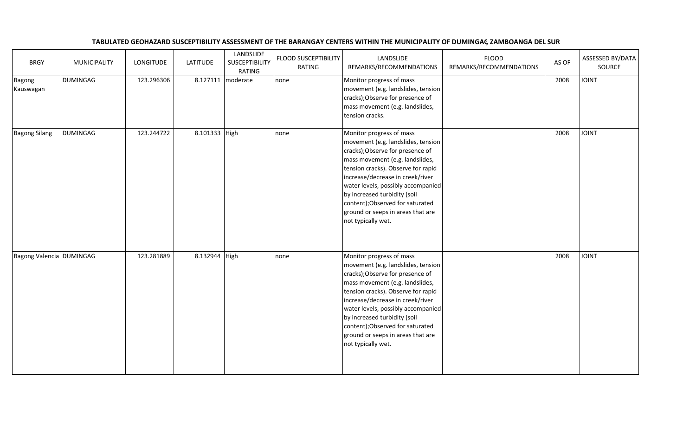| <b>BRGY</b>                | MUNICIPALITY    | <b>LONGITUDE</b> | <b>LATITUDE</b> | LANDSLIDE<br><b>SUSCEPTIBILITY</b><br>RATING | FLOOD SUSCEPTIBILITY<br>RATING | LANDSLIDE<br>REMARKS/RECOMMENDATIONS                                                                                                                                                                                                                                                                                                                                                 | <b>FLOOD</b><br>REMARKS/RECOMMENDATIONS | AS OF | ASSESSED BY/DATA<br>SOURCE |
|----------------------------|-----------------|------------------|-----------------|----------------------------------------------|--------------------------------|--------------------------------------------------------------------------------------------------------------------------------------------------------------------------------------------------------------------------------------------------------------------------------------------------------------------------------------------------------------------------------------|-----------------------------------------|-------|----------------------------|
| <b>Bagong</b><br>Kauswagan | <b>DUMINGAG</b> | 123.296306       |                 | 8.127111   moderate                          | none                           | Monitor progress of mass<br>movement (e.g. landslides, tension<br>cracks); Observe for presence of<br>mass movement (e.g. landslides,<br>tension cracks.                                                                                                                                                                                                                             |                                         | 2008  | <b>JOINT</b>               |
| <b>Bagong Silang</b>       | <b>DUMINGAG</b> | 123.244722       | 8.101333 High   |                                              | none                           | Monitor progress of mass<br>movement (e.g. landslides, tension<br>cracks); Observe for presence of<br>mass movement (e.g. landslides,<br>tension cracks). Observe for rapid<br>increase/decrease in creek/river<br>water levels, possibly accompanied<br>by increased turbidity (soil<br>content); Observed for saturated<br>ground or seeps in areas that are<br>not typically wet. |                                         | 2008  | <b>JOINT</b>               |
| Bagong Valencia DUMINGAG   |                 | 123.281889       | 8.132944 High   |                                              | none                           | Monitor progress of mass<br>movement (e.g. landslides, tension<br>cracks); Observe for presence of<br>mass movement (e.g. landslides,<br>tension cracks). Observe for rapid<br>increase/decrease in creek/river<br>water levels, possibly accompanied<br>by increased turbidity (soil<br>content); Observed for saturated<br>ground or seeps in areas that are<br>not typically wet. |                                         | 2008  | <b>TAIOL</b>               |

## TABULATED GEOHAZARD SUSCEPTIBILITY ASSESSMENT OF THE BARANGAY CENTERS WITHIN THE MUNICIPALITY OF DUMINGAG, ZAMBOANGA DEL SUR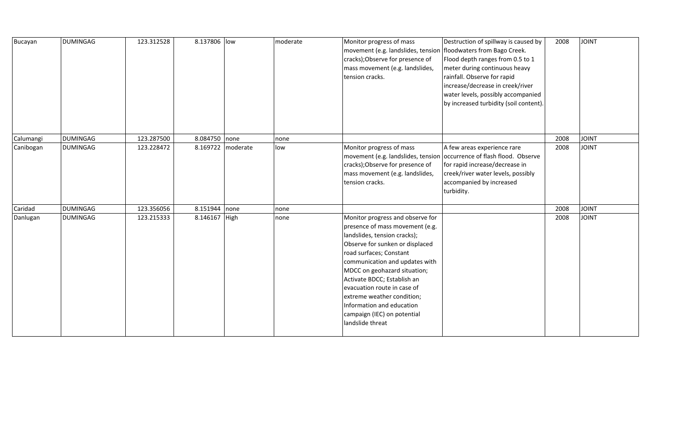| Bucayan   | <b>DUMINGAG</b> | 123.312528 | 8.137806 low  |                     | moderate | Monitor progress of mass<br>movement (e.g. landslides, tension<br>cracks); Observe for presence of<br>mass movement (e.g. landslides,<br>tension cracks.                                                                                                                                                                                                                                                        | Destruction of spillway is caused by<br>floodwaters from Bago Creek.<br>Flood depth ranges from 0.5 to 1<br>meter during continuous heavy<br>rainfall. Observe for rapid<br>increase/decrease in creek/river<br>water levels, possibly accompanied<br>by increased turbidity (soil content). | 2008 | <b>JOINT</b> |
|-----------|-----------------|------------|---------------|---------------------|----------|-----------------------------------------------------------------------------------------------------------------------------------------------------------------------------------------------------------------------------------------------------------------------------------------------------------------------------------------------------------------------------------------------------------------|----------------------------------------------------------------------------------------------------------------------------------------------------------------------------------------------------------------------------------------------------------------------------------------------|------|--------------|
| Calumangi | <b>DUMINGAG</b> | 123.287500 | 8.084750 none |                     | none     |                                                                                                                                                                                                                                                                                                                                                                                                                 |                                                                                                                                                                                                                                                                                              | 2008 | <b>JOINT</b> |
| Canibogan | <b>DUMINGAG</b> | 123.228472 |               | 8.169722   moderate | low      | Monitor progress of mass<br>cracks); Observe for presence of<br>mass movement (e.g. landslides,<br>tension cracks.                                                                                                                                                                                                                                                                                              | A few areas experience rare<br>movement (e.g. landslides, tension   occurrence of flash flood. Observe<br>for rapid increase/decrease in<br>creek/river water levels, possibly<br>accompanied by increased<br>turbidity.                                                                     | 2008 | <b>JOINT</b> |
| Caridad   | <b>DUMINGAG</b> | 123.356056 | 8.151944 none |                     | none     |                                                                                                                                                                                                                                                                                                                                                                                                                 |                                                                                                                                                                                                                                                                                              | 2008 | <b>JOINT</b> |
| Danlugan  | <b>DUMINGAG</b> | 123.215333 | 8.146167 High |                     | none     | Monitor progress and observe for<br>presence of mass movement (e.g.<br>landslides, tension cracks);<br>Observe for sunken or displaced<br>road surfaces; Constant<br>communication and updates with<br>MDCC on geohazard situation;<br>Activate BDCC; Establish an<br>evacuation route in case of<br>extreme weather condition;<br>Information and education<br>campaign (IEC) on potential<br>landslide threat |                                                                                                                                                                                                                                                                                              | 2008 | <b>JOINT</b> |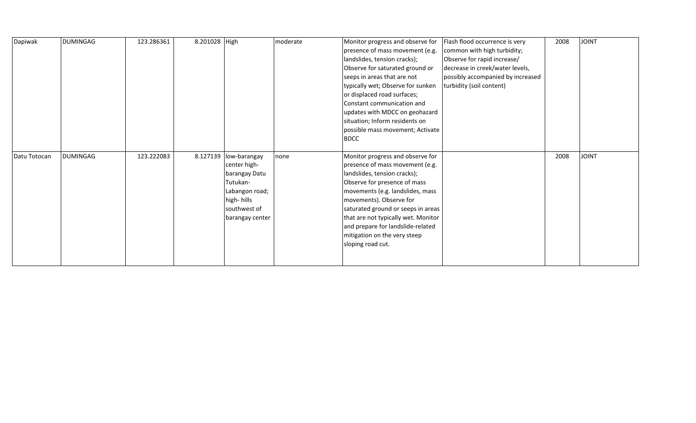| Dapiwak      | <b>DUMINGAG</b> | 123.286361 | 8.201028 High |                                                                                                                                         | moderate | Monitor progress and observe for<br>presence of mass movement (e.g.<br>landslides, tension cracks);<br>Observe for saturated ground or<br>seeps in areas that are not<br>typically wet; Observe for sunken<br>or displaced road surfaces;<br>Constant communication and<br>updates with MDCC on geohazard<br>situation; Inform residents on<br>possible mass movement; Activate<br><b>BDCC</b> | Flash flood occurrence is very<br>common with high turbidity;<br>Observe for rapid increase/<br>decrease in creek/water levels,<br>possibly accompanied by increased<br>turbidity (soil content) | 2008 | <b>JOINT</b> |
|--------------|-----------------|------------|---------------|-----------------------------------------------------------------------------------------------------------------------------------------|----------|------------------------------------------------------------------------------------------------------------------------------------------------------------------------------------------------------------------------------------------------------------------------------------------------------------------------------------------------------------------------------------------------|--------------------------------------------------------------------------------------------------------------------------------------------------------------------------------------------------|------|--------------|
| Datu Totocan | <b>DUMINGAG</b> | 123.222083 |               | 8.127139   low-barangay<br>center high-<br>barangay Datu<br>Tutukan-<br>Labangon road;<br>high-hills<br>southwest of<br>barangay center | none     | Monitor progress and observe for<br>presence of mass movement (e.g.<br>landslides, tension cracks);<br>Observe for presence of mass<br>movements (e.g. landslides, mass<br>movements). Observe for<br>saturated ground or seeps in areas<br>that are not typically wet. Monitor<br>and prepare for landslide-related<br>mitigation on the very steep<br>sloping road cut.                      |                                                                                                                                                                                                  | 2008 | <b>JOINT</b> |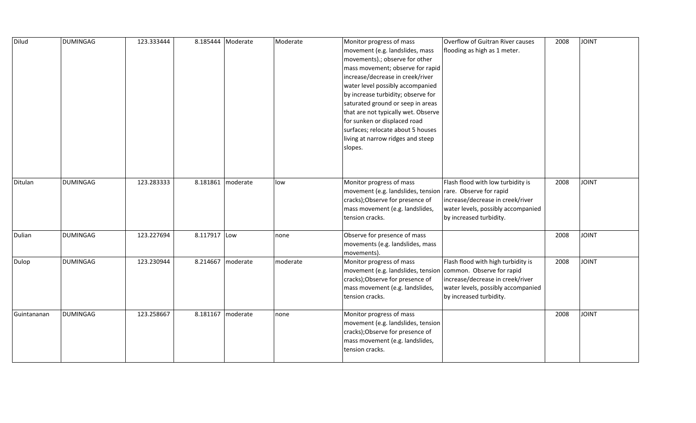| Dilud       | <b>DUMINGAG</b> | 123.333444 | 8.185444 Moderate |          | Moderate | Monitor progress of mass            | Overflow of Guitran River causes   | 2008 | <b>TVIOL</b> |
|-------------|-----------------|------------|-------------------|----------|----------|-------------------------------------|------------------------------------|------|--------------|
|             |                 |            |                   |          |          | movement (e.g. landslides, mass     | flooding as high as 1 meter.       |      |              |
|             |                 |            |                   |          |          | movements) .; observe for other     |                                    |      |              |
|             |                 |            |                   |          |          | mass movement; observe for rapid    |                                    |      |              |
|             |                 |            |                   |          |          | increase/decrease in creek/river    |                                    |      |              |
|             |                 |            |                   |          |          | water level possibly accompanied    |                                    |      |              |
|             |                 |            |                   |          |          | by increase turbidity; observe for  |                                    |      |              |
|             |                 |            |                   |          |          | saturated ground or seep in areas   |                                    |      |              |
|             |                 |            |                   |          |          | that are not typically wet. Observe |                                    |      |              |
|             |                 |            |                   |          |          | for sunken or displaced road        |                                    |      |              |
|             |                 |            |                   |          |          | surfaces; relocate about 5 houses   |                                    |      |              |
|             |                 |            |                   |          |          | living at narrow ridges and steep   |                                    |      |              |
|             |                 |            |                   |          |          | slopes.                             |                                    |      |              |
|             |                 |            |                   |          |          |                                     |                                    |      |              |
|             |                 |            |                   |          |          |                                     |                                    |      |              |
|             |                 |            |                   |          |          |                                     |                                    |      |              |
| Ditulan     | <b>DUMINGAG</b> | 123.283333 | 8.181861          | moderate | low      | Monitor progress of mass            | Flash flood with low turbidity is  | 2008 | <b>TVIOL</b> |
|             |                 |            |                   |          |          | movement (e.g. landslides, tension  | rare. Observe for rapid            |      |              |
|             |                 |            |                   |          |          | cracks); Observe for presence of    | increase/decrease in creek/river   |      |              |
|             |                 |            |                   |          |          | mass movement (e.g. landslides,     | water levels, possibly accompanied |      |              |
|             |                 |            |                   |          |          | tension cracks.                     | by increased turbidity.            |      |              |
| Dulian      | <b>DUMINGAG</b> | 123.227694 | 8.117917 Low      |          | none     | Observe for presence of mass        |                                    | 2008 | <b>JOINT</b> |
|             |                 |            |                   |          |          | movements (e.g. landslides, mass    |                                    |      |              |
|             |                 |            |                   |          |          | movements).                         |                                    |      |              |
| Dulop       | <b>DUMINGAG</b> | 123.230944 | 8.214667 moderate |          | moderate | Monitor progress of mass            | Flash flood with high turbidity is | 2008 | <b>JOINT</b> |
|             |                 |            |                   |          |          | movement (e.g. landslides, tension  | common. Observe for rapid          |      |              |
|             |                 |            |                   |          |          | cracks); Observe for presence of    | increase/decrease in creek/river   |      |              |
|             |                 |            |                   |          |          | mass movement (e.g. landslides,     | water levels, possibly accompanied |      |              |
|             |                 |            |                   |          |          | tension cracks.                     | by increased turbidity.            |      |              |
| Guintananan | <b>DUMINGAG</b> | 123.258667 | 8.181167          | moderate | none     | Monitor progress of mass            |                                    | 2008 | <b>JOINT</b> |
|             |                 |            |                   |          |          | movement (e.g. landslides, tension  |                                    |      |              |
|             |                 |            |                   |          |          | cracks); Observe for presence of    |                                    |      |              |
|             |                 |            |                   |          |          | mass movement (e.g. landslides,     |                                    |      |              |
|             |                 |            |                   |          |          | tension cracks.                     |                                    |      |              |
|             |                 |            |                   |          |          |                                     |                                    |      |              |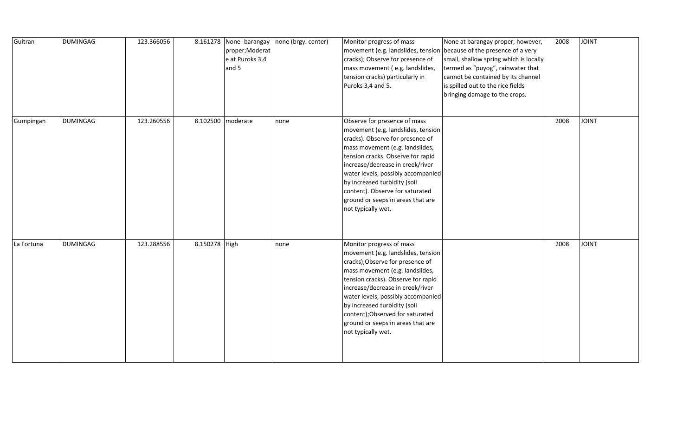| Guitran    | <b>DUMINGAG</b> | 123.366056 |               | 8.161278 None-barangay<br>proper; Moderat<br>e at Puroks 3,4<br>and 5 | none (brgy. center) | Monitor progress of mass<br>cracks); Observe for presence of<br>mass movement (e.g. landslides,<br>tension cracks) particularly in<br>Puroks 3,4 and 5.                                                                                                                                                                                                                                | None at barangay proper, however,<br>movement (e.g. landslides, tension because of the presence of a very<br>small, shallow spring which is locally<br>termed as "puyog", rainwater that<br>cannot be contained by its channel<br>is spilled out to the rice fields<br>bringing damage to the crops. | 2008 | <b>JOINT</b> |
|------------|-----------------|------------|---------------|-----------------------------------------------------------------------|---------------------|----------------------------------------------------------------------------------------------------------------------------------------------------------------------------------------------------------------------------------------------------------------------------------------------------------------------------------------------------------------------------------------|------------------------------------------------------------------------------------------------------------------------------------------------------------------------------------------------------------------------------------------------------------------------------------------------------|------|--------------|
| Gumpingan  | <b>DUMINGAG</b> | 123.260556 |               | 8.102500 moderate                                                     | none                | Observe for presence of mass<br>movement (e.g. landslides, tension<br>cracks). Observe for presence of<br>mass movement (e.g. landslides,<br>tension cracks. Observe for rapid<br>increase/decrease in creek/river<br>water levels, possibly accompanied<br>by increased turbidity (soil<br>content). Observe for saturated<br>ground or seeps in areas that are<br>not typically wet. |                                                                                                                                                                                                                                                                                                      | 2008 | <b>TAIOL</b> |
| La Fortuna | <b>DUMINGAG</b> | 123.288556 | 8.150278 High |                                                                       | none                | Monitor progress of mass<br>movement (e.g. landslides, tension<br>cracks); Observe for presence of<br>mass movement (e.g. landslides,<br>tension cracks). Observe for rapid<br>increase/decrease in creek/river<br>water levels, possibly accompanied<br>by increased turbidity (soil<br>content); Observed for saturated<br>ground or seeps in areas that are<br>not typically wet.   |                                                                                                                                                                                                                                                                                                      | 2008 | <b>JOINT</b> |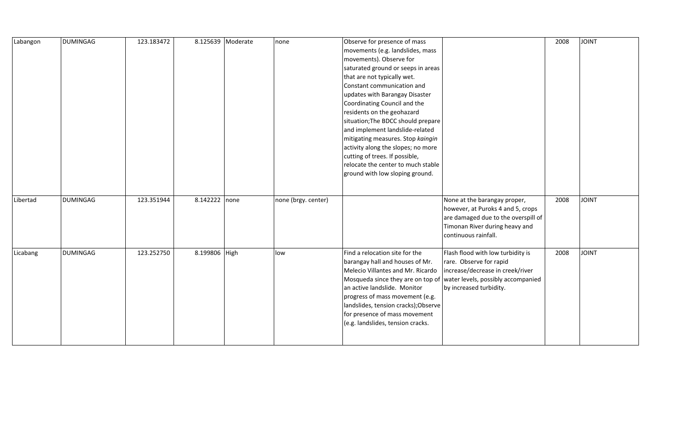| Labangon | <b>DUMINGAG</b> | 123.183472 |               | 8.125639 Moderate | none                | Observe for presence of mass         |                                     | 2008 | <b>JOINT</b> |
|----------|-----------------|------------|---------------|-------------------|---------------------|--------------------------------------|-------------------------------------|------|--------------|
|          |                 |            |               |                   |                     | movements (e.g. landslides, mass     |                                     |      |              |
|          |                 |            |               |                   |                     | movements). Observe for              |                                     |      |              |
|          |                 |            |               |                   |                     | saturated ground or seeps in areas   |                                     |      |              |
|          |                 |            |               |                   |                     | that are not typically wet.          |                                     |      |              |
|          |                 |            |               |                   |                     | Constant communication and           |                                     |      |              |
|          |                 |            |               |                   |                     | updates with Barangay Disaster       |                                     |      |              |
|          |                 |            |               |                   |                     | Coordinating Council and the         |                                     |      |              |
|          |                 |            |               |                   |                     | residents on the geohazard           |                                     |      |              |
|          |                 |            |               |                   |                     | situation; The BDCC should prepare   |                                     |      |              |
|          |                 |            |               |                   |                     | and implement landslide-related      |                                     |      |              |
|          |                 |            |               |                   |                     | mitigating measures. Stop kaingin    |                                     |      |              |
|          |                 |            |               |                   |                     | activity along the slopes; no more   |                                     |      |              |
|          |                 |            |               |                   |                     | cutting of trees. If possible,       |                                     |      |              |
|          |                 |            |               |                   |                     | relocate the center to much stable   |                                     |      |              |
|          |                 |            |               |                   |                     | ground with low sloping ground.      |                                     |      |              |
|          |                 |            |               |                   |                     |                                      |                                     |      |              |
|          |                 |            |               |                   |                     |                                      |                                     |      |              |
| Libertad | <b>DUMINGAG</b> | 123.351944 | 8.142222 none |                   | none (brgy. center) |                                      | None at the barangay proper,        | 2008 | <b>JOINT</b> |
|          |                 |            |               |                   |                     |                                      | however, at Puroks 4 and 5, crops   |      |              |
|          |                 |            |               |                   |                     |                                      | are damaged due to the overspill of |      |              |
|          |                 |            |               |                   |                     |                                      | Timonan River during heavy and      |      |              |
|          |                 |            |               |                   |                     |                                      | continuous rainfall.                |      |              |
| Licabang | <b>DUMINGAG</b> | 123.252750 | 8.199806 High |                   | low                 | Find a relocation site for the       | Flash flood with low turbidity is   | 2008 | <b>JOINT</b> |
|          |                 |            |               |                   |                     | barangay hall and houses of Mr.      | rare. Observe for rapid             |      |              |
|          |                 |            |               |                   |                     | Melecio Villantes and Mr. Ricardo    | increase/decrease in creek/river    |      |              |
|          |                 |            |               |                   |                     | Mosqueda since they are on top of    | water levels, possibly accompanied  |      |              |
|          |                 |            |               |                   |                     | an active landslide. Monitor         | by increased turbidity.             |      |              |
|          |                 |            |               |                   |                     | progress of mass movement (e.g.      |                                     |      |              |
|          |                 |            |               |                   |                     | landslides, tension cracks); Observe |                                     |      |              |
|          |                 |            |               |                   |                     | for presence of mass movement        |                                     |      |              |
|          |                 |            |               |                   |                     | (e.g. landslides, tension cracks.    |                                     |      |              |
|          |                 |            |               |                   |                     |                                      |                                     |      |              |
|          |                 |            |               |                   |                     |                                      |                                     |      |              |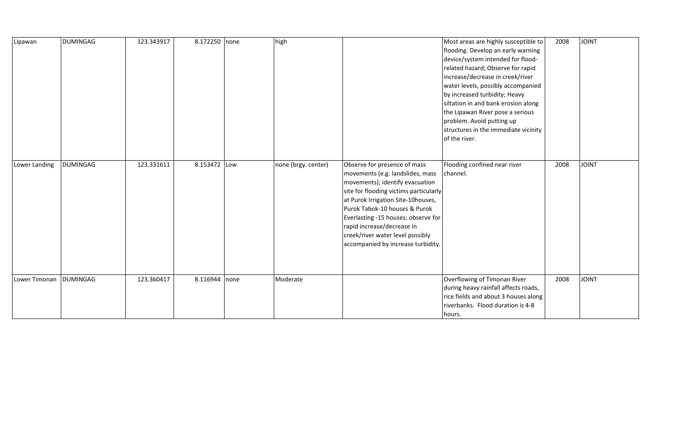| Lipawan       | <b>DUMINGAG</b> | 123.343917 | 8.172250 none |      | high                |                                                                                                                                                                                                                                                                                                                                                                     | Most areas are highly susceptible to<br>flooding. Develop an early warning<br>device/system intended for flood-<br>related hazard; Observe for rapid<br>increase/decrease in creek/river<br>water levels, possibly accompanied<br>by increased turbidity; Heavy<br>siltation in and bank erosion along<br>the Lipawan River pose a serious<br>problem. Avoid putting up<br>structures in the immediate vicinity<br>of the river. | 2008 | <b>JOINT</b> |
|---------------|-----------------|------------|---------------|------|---------------------|---------------------------------------------------------------------------------------------------------------------------------------------------------------------------------------------------------------------------------------------------------------------------------------------------------------------------------------------------------------------|----------------------------------------------------------------------------------------------------------------------------------------------------------------------------------------------------------------------------------------------------------------------------------------------------------------------------------------------------------------------------------------------------------------------------------|------|--------------|
| Lower Landing | <b>DUMINGAG</b> | 123.331611 | 8.153472 Low  |      | none (brgy. center) | Observe for presence of mass<br>movements (e.g. landslides, mass<br>movements); identify evacuation<br>site for flooding victims particularly<br>at Purok Irrigation Site-10houses,<br>Purok Tabok-10 houses & Purok<br>Everlasting -15 houses; observe for<br>rapid increase/decrease in<br>creek/river water level possibly<br>accompanied by increase turbidity. | Flooding confined near river<br>channel.                                                                                                                                                                                                                                                                                                                                                                                         | 2008 | <b>JOINT</b> |
| Lower Timonan | <b>DUMINGAG</b> | 123.360417 | 8.116944      | none | Moderate            |                                                                                                                                                                                                                                                                                                                                                                     | Overflowing of Timonan River<br>during heavy rainfall affects roads,<br>rice fields and about 3 houses along<br>riverbanks. Flood duration is 4-8<br>hours.                                                                                                                                                                                                                                                                      | 2008 | <b>JOINT</b> |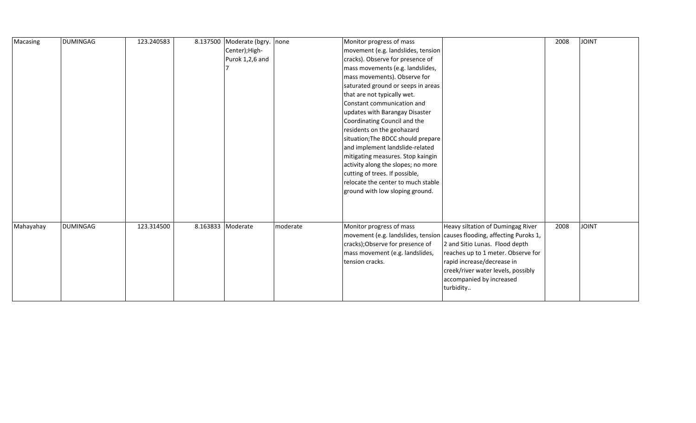| Macasing  | <b>DUMINGAG</b> | 123.240583 |                   | 8.137500 Moderate (bgry. none |          | Monitor progress of mass           |                                                                         | 2008 | <b>TVIOL</b> |
|-----------|-----------------|------------|-------------------|-------------------------------|----------|------------------------------------|-------------------------------------------------------------------------|------|--------------|
|           |                 |            |                   | Center); High-                |          | movement (e.g. landslides, tension |                                                                         |      |              |
|           |                 |            |                   | Purok 1,2,6 and               |          | cracks). Observe for presence of   |                                                                         |      |              |
|           |                 |            |                   |                               |          | mass movements (e.g. landslides,   |                                                                         |      |              |
|           |                 |            |                   |                               |          | mass movements). Observe for       |                                                                         |      |              |
|           |                 |            |                   |                               |          | saturated ground or seeps in areas |                                                                         |      |              |
|           |                 |            |                   |                               |          | that are not typically wet.        |                                                                         |      |              |
|           |                 |            |                   |                               |          | Constant communication and         |                                                                         |      |              |
|           |                 |            |                   |                               |          | updates with Barangay Disaster     |                                                                         |      |              |
|           |                 |            |                   |                               |          | Coordinating Council and the       |                                                                         |      |              |
|           |                 |            |                   |                               |          | residents on the geohazard         |                                                                         |      |              |
|           |                 |            |                   |                               |          | situation; The BDCC should prepare |                                                                         |      |              |
|           |                 |            |                   |                               |          | and implement landslide-related    |                                                                         |      |              |
|           |                 |            |                   |                               |          | mitigating measures. Stop kaingin  |                                                                         |      |              |
|           |                 |            |                   |                               |          | activity along the slopes; no more |                                                                         |      |              |
|           |                 |            |                   |                               |          | cutting of trees. If possible,     |                                                                         |      |              |
|           |                 |            |                   |                               |          | relocate the center to much stable |                                                                         |      |              |
|           |                 |            |                   |                               |          | ground with low sloping ground.    |                                                                         |      |              |
|           |                 |            |                   |                               |          |                                    |                                                                         |      |              |
|           |                 |            |                   |                               |          |                                    |                                                                         |      |              |
|           |                 |            |                   |                               |          |                                    |                                                                         |      |              |
| Mahayahay | <b>DUMINGAG</b> | 123.314500 | 8.163833 Moderate |                               | moderate | Monitor progress of mass           | Heavy siltation of Dumingag River                                       | 2008 | <b>JOINT</b> |
|           |                 |            |                   |                               |          |                                    | movement (e.g. landslides, tension causes flooding, affecting Puroks 1, |      |              |
|           |                 |            |                   |                               |          | cracks); Observe for presence of   | 2 and Sitio Lunas. Flood depth                                          |      |              |
|           |                 |            |                   |                               |          | mass movement (e.g. landslides,    | reaches up to 1 meter. Observe for                                      |      |              |
|           |                 |            |                   |                               |          | tension cracks.                    | rapid increase/decrease in                                              |      |              |
|           |                 |            |                   |                               |          |                                    | creek/river water levels, possibly                                      |      |              |
|           |                 |            |                   |                               |          |                                    | accompanied by increased                                                |      |              |
|           |                 |            |                   |                               |          |                                    | turbidity                                                               |      |              |
|           |                 |            |                   |                               |          |                                    |                                                                         |      |              |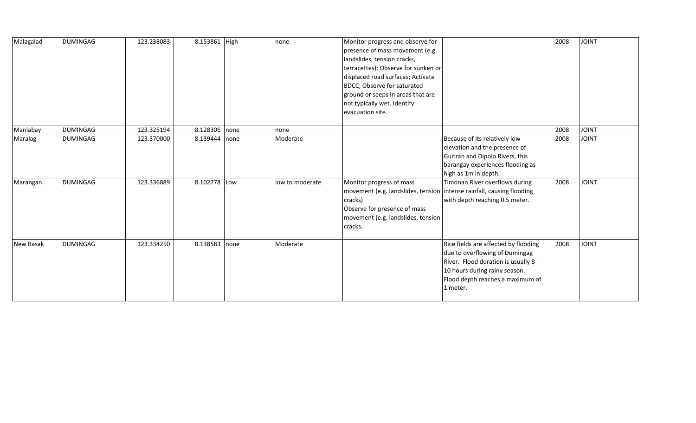| Malagalad | <b>DUMINGAG</b> | 123.238083 | 8.153861 High | none            | Monitor progress and observe for<br>presence of mass movement (e.g.<br>landslides, tension cracks,<br>terracettes); Observe for sunken or<br>displaced road surfaces; Activate<br>BDCC; Observe for saturated<br>ground or seeps in areas that are<br>not typically wet. Identify<br>evacuation site. |                                                                                                                                                                                                | 2008 | <b>JOINT</b> |
|-----------|-----------------|------------|---------------|-----------------|-------------------------------------------------------------------------------------------------------------------------------------------------------------------------------------------------------------------------------------------------------------------------------------------------------|------------------------------------------------------------------------------------------------------------------------------------------------------------------------------------------------|------|--------------|
| Manlabay  | <b>DUMINGAG</b> | 123.325194 | 8.128306 none | none            |                                                                                                                                                                                                                                                                                                       |                                                                                                                                                                                                | 2008 | <b>JOINT</b> |
| Maralag   | <b>DUMINGAG</b> | 123.370000 | 8.139444 none | Moderate        |                                                                                                                                                                                                                                                                                                       | Because of its relatively low<br>elevation and the presence of<br>Guitran and Dipolo Rivers, this<br>barangay experiences flooding as<br>high as 1m in depth.                                  | 2008 | <b>JOINT</b> |
| Marangan  | <b>DUMINGAG</b> | 123.336889 | 8.102778 Low  | low to moderate | Monitor progress of mass<br> movement (e.g. landslides, tension  intense rainfall, causing flooding<br>cracks)<br>Observe for presence of mass<br>movement (e.g. landslides, tension<br>cracks.                                                                                                       | Timonan River overflows during<br>with depth reaching 0.5 meter.                                                                                                                               | 2008 | <b>JOINT</b> |
| New Basak | <b>DUMINGAG</b> | 123.334250 | 8.138583 none | Moderate        |                                                                                                                                                                                                                                                                                                       | Rice fields are affected by flooding<br>due to overflowing of Dumingag<br>River. Flood duration is usually 8-<br>10 hours during rainy season.<br>Flood depth reaches a maximum of<br>1 meter. | 2008 | <b>JOINT</b> |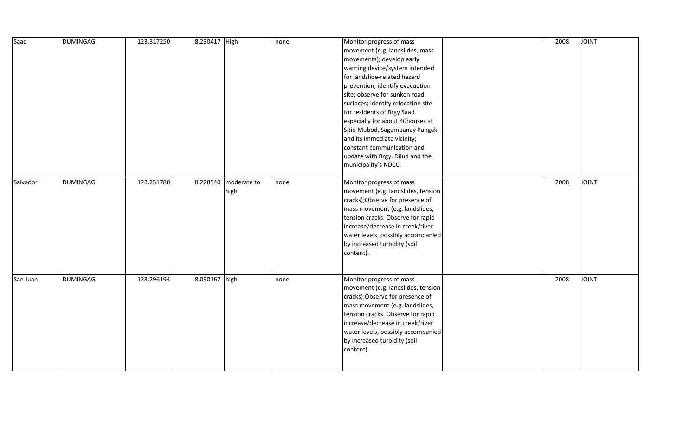| Saad     | <b>DUMINGAG</b> | 123.317250 | 8.230417 High |                              | none | Monitor progress of mass<br>movement (e.g. landslides, mass<br>movements); develop early<br>warning device/system intended<br>for landslide-related hazard<br>prevention; identify evacuation<br>site; observe for sunken road<br>surfaces; Identify relocation site<br>for residents of Brgy Saad<br>especially for about 40houses at<br>Sitio Mubod, Sagampanay Pangaki<br>and its immediate vicinity;<br>constant communication and<br>update with Brgy. Dilud and the<br>municipality's NDCC. | 2008 | <b>JOINT</b> |
|----------|-----------------|------------|---------------|------------------------------|------|---------------------------------------------------------------------------------------------------------------------------------------------------------------------------------------------------------------------------------------------------------------------------------------------------------------------------------------------------------------------------------------------------------------------------------------------------------------------------------------------------|------|--------------|
| Salvador | <b>DUMINGAG</b> | 123.251780 |               | 8.228540 moderate to<br>high | none | Monitor progress of mass<br>movement (e.g. landslides, tension<br>cracks); Observe for presence of<br>mass movement (e.g. landslides,<br>tension cracks. Observe for rapid<br>increase/decrease in creek/river<br>water levels, possibly accompanied<br>by increased turbidity (soil<br>content).                                                                                                                                                                                                 | 2008 | <b>JOINT</b> |
| San Juan | <b>DUMINGAG</b> | 123.296194 | 8.090167 high |                              | none | Monitor progress of mass<br>movement (e.g. landslides, tension<br>cracks); Observe for presence of<br>mass movement (e.g. landslides,<br>tension cracks. Observe for rapid<br>increase/decrease in creek/river<br>water levels, possibly accompanied<br>by increased turbidity (soil<br>content).                                                                                                                                                                                                 | 2008 | <b>JOINT</b> |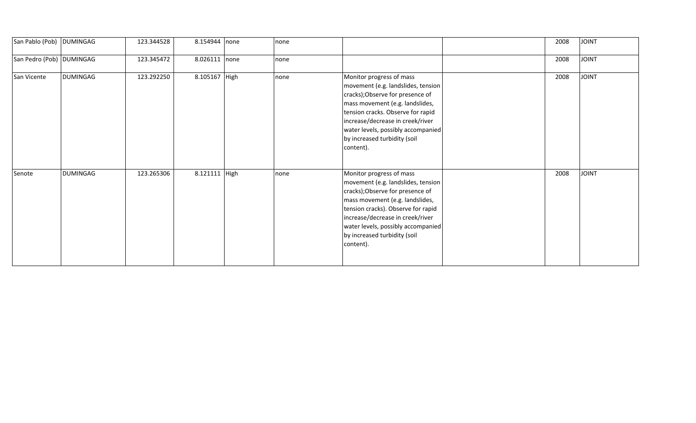| San Pablo (Pob)   DUMINGAG |                 | 123.344528 | 8.154944 none   | none |                                                                                                                                                                                                                                                                                                    | 2008 | <b>TINIOL</b> |
|----------------------------|-----------------|------------|-----------------|------|----------------------------------------------------------------------------------------------------------------------------------------------------------------------------------------------------------------------------------------------------------------------------------------------------|------|---------------|
| San Pedro (Pob) DUMINGAG   |                 | 123.345472 | $8.026111$ none | none |                                                                                                                                                                                                                                                                                                    | 2008 | <b>JOINT</b>  |
| San Vicente                | <b>DUMINGAG</b> | 123.292250 | 8.105167 High   | none | Monitor progress of mass<br>movement (e.g. landslides, tension<br>cracks); Observe for presence of<br>mass movement (e.g. landslides,<br>tension cracks. Observe for rapid<br>increase/decrease in creek/river<br>water levels, possibly accompanied<br>by increased turbidity (soil<br>content).  | 2008 | <b>TINIOL</b> |
| Senote                     | <b>DUMINGAG</b> | 123.265306 | 8.121111 High   | none | Monitor progress of mass<br>movement (e.g. landslides, tension<br>cracks); Observe for presence of<br>mass movement (e.g. landslides,<br>tension cracks). Observe for rapid<br>increase/decrease in creek/river<br>water levels, possibly accompanied<br>by increased turbidity (soil<br>content). | 2008 | <b>JOINT</b>  |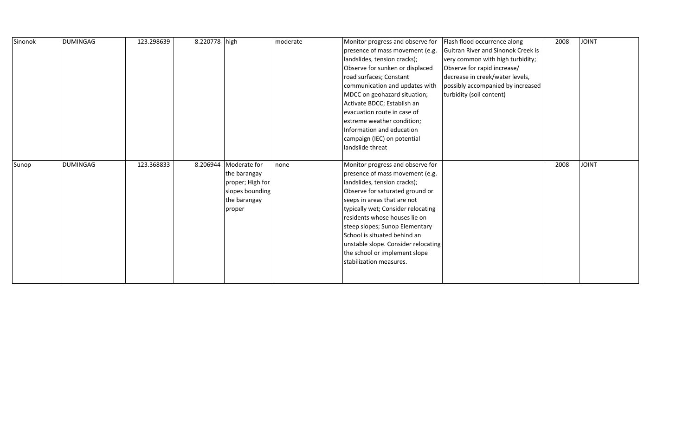| Sinonok | <b>DUMINGAG</b> | 123.298639 | 8.220778 high |                                                                                                          | moderate | Monitor progress and observe for<br>presence of mass movement (e.g.<br>landslides, tension cracks);<br>Observe for sunken or displaced<br>road surfaces; Constant<br>communication and updates with<br>MDCC on geohazard situation;<br>Activate BDCC; Establish an<br>evacuation route in case of<br>extreme weather condition;<br>Information and education<br>campaign (IEC) on potential<br>landslide threat   | Flash flood occurrence along<br>Guitran River and Sinonok Creek is<br>very common with high turbidity;<br>Observe for rapid increase/<br>decrease in creek/water levels,<br>possibly accompanied by increased<br>turbidity (soil content) | 2008 | <b>JOINT</b> |
|---------|-----------------|------------|---------------|----------------------------------------------------------------------------------------------------------|----------|-------------------------------------------------------------------------------------------------------------------------------------------------------------------------------------------------------------------------------------------------------------------------------------------------------------------------------------------------------------------------------------------------------------------|-------------------------------------------------------------------------------------------------------------------------------------------------------------------------------------------------------------------------------------------|------|--------------|
| Sunop   | <b>DUMINGAG</b> | 123.368833 |               | 8.206944   Moderate for<br>the barangay<br>proper; High for<br>slopes bounding<br>the barangay<br>proper | none     | Monitor progress and observe for<br>presence of mass movement (e.g.<br>landslides, tension cracks);<br>Observe for saturated ground or<br>seeps in areas that are not<br>typically wet; Consider relocating<br>residents whose houses lie on<br>steep slopes; Sunop Elementary<br>School is situated behind an<br>unstable slope. Consider relocating<br>the school or implement slope<br>stabilization measures. |                                                                                                                                                                                                                                           | 2008 | <b>JOINT</b> |